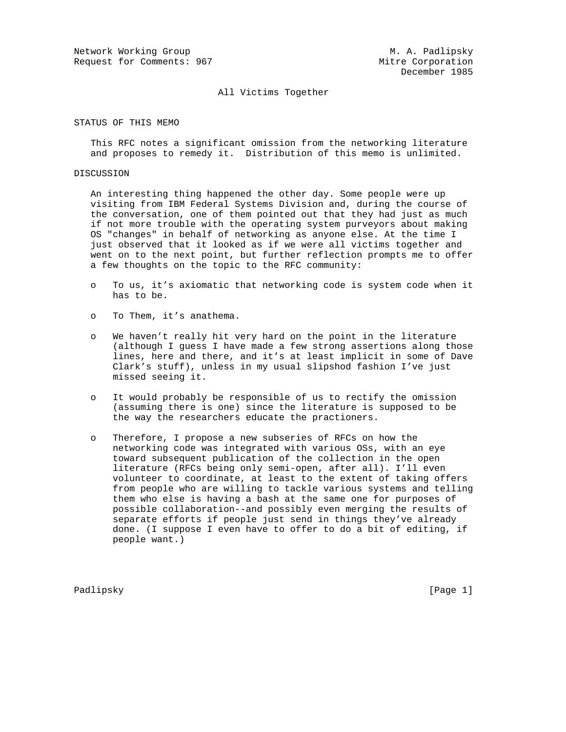Network Working Group Metwork Monthly Metwork Working Group Request for Comments: 967 Mitre Corporation

## All Victims Together

STATUS OF THIS MEMO

 This RFC notes a significant omission from the networking literature and proposes to remedy it. Distribution of this memo is unlimited.

## DISCUSSION

 An interesting thing happened the other day. Some people were up visiting from IBM Federal Systems Division and, during the course of the conversation, one of them pointed out that they had just as much if not more trouble with the operating system purveyors about making OS "changes" in behalf of networking as anyone else. At the time I just observed that it looked as if we were all victims together and went on to the next point, but further reflection prompts me to offer a few thoughts on the topic to the RFC community:

- o To us, it's axiomatic that networking code is system code when it has to be.
- o To Them, it's anathema.
- o We haven't really hit very hard on the point in the literature (although I guess I have made a few strong assertions along those lines, here and there, and it's at least implicit in some of Dave Clark's stuff), unless in my usual slipshod fashion I've just missed seeing it.
- o It would probably be responsible of us to rectify the omission (assuming there is one) since the literature is supposed to be the way the researchers educate the practioners.
- o Therefore, I propose a new subseries of RFCs on how the networking code was integrated with various OSs, with an eye toward subsequent publication of the collection in the open literature (RFCs being only semi-open, after all). I'll even volunteer to coordinate, at least to the extent of taking offers from people who are willing to tackle various systems and telling them who else is having a bash at the same one for purposes of possible collaboration--and possibly even merging the results of separate efforts if people just send in things they've already done. (I suppose I even have to offer to do a bit of editing, if people want.)

Padlipsky [Page 1]